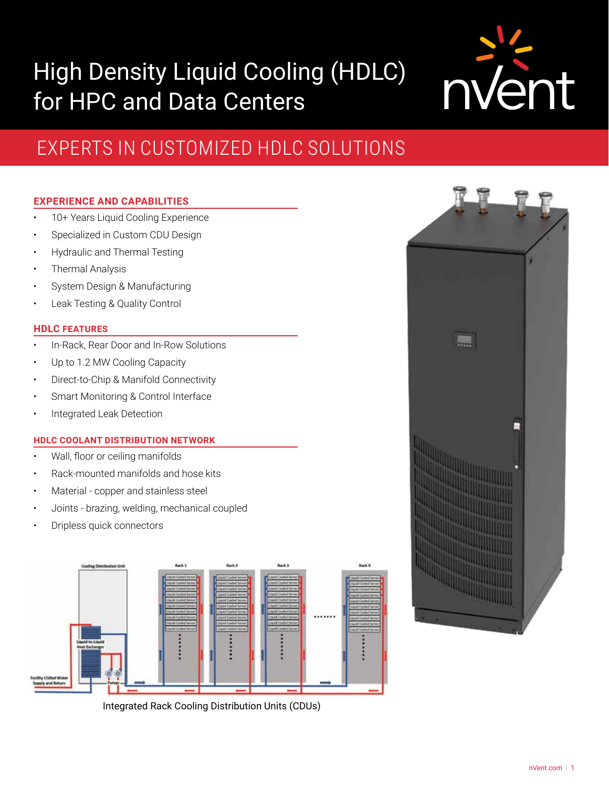# High Density Liquid Cooling (HDLC) for HPC and Data Centers



# EXPERTS IN CUSTOMIZED HDLC SOLUTIONS

# **EXPERIENCE AND CAPABILITIES**

- 10+ Years Liquid Cooling Experience
- Specialized in Custom CDU Design
- Hydraulic and Thermal Testing
- Thermal Analysis
- System Design & Manufacturing
- Leak Testing & Quality Control

## **HDLC FEATURES**

- In-Rack, Rear Door and In-Row Solutions
- Up to 1.2 MW Cooling Capacity
- Direct-to-Chip & Manifold Connectivity
- Smart Monitoring & Control Interface
- Integrated Leak Detection

## **HDLC COOLANT DISTRIBUTION NETWORK**

- Wall, floor or ceiling manifolds
- Rack-mounted manifolds and hose kits
- Material copper and stainless steel
- Joints brazing, welding, mechanical coupled
- Dripless quick connectors



Integrated Rack Cooling Distribution Units (CDUs)